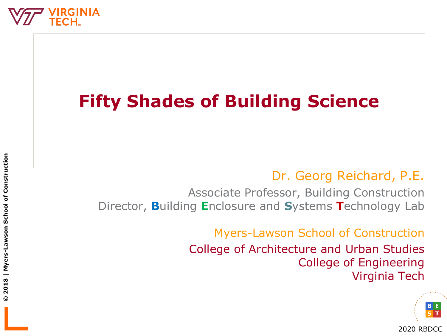

## **Fifty Shades of Building Science**

#### Dr. Georg Reichard, P.E.

Associate Professor, Building Construction Director, **B**uilding **E**nclosure and **S**ystems **T**echnology Lab

> Myers-Lawson School of Construction College of Architecture and Urban Studies College of Engineering Virginia Tech

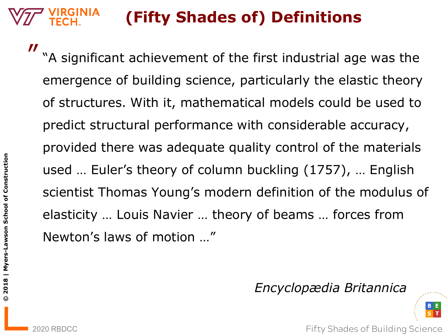"A significant achievement of the first industrial age was the emergence of building science, particularly the elastic theory of structures. With it, mathematical models could be used to predict structural performance with considerable accuracy, provided there was adequate quality control of the materials used … Euler's theory of column buckling (1757), … English scientist Thomas Young's modern definition of the modulus of elasticity … Louis Navier … theory of beams … forces from Newton's laws of motion …"

*Encyclopædia Britannica*



2020 RBDCC **Fifty Shades of Building Science** 

 $\boldsymbol{\mathit{II}}$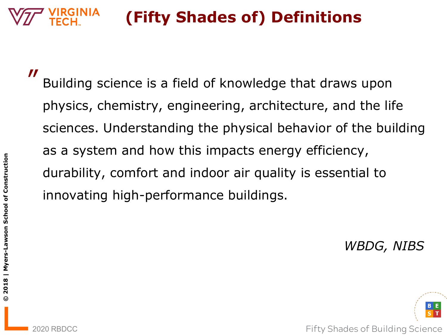″

Building science is a field of knowledge that draws upon physics, chemistry, engineering, architecture, and the life sciences. Understanding the physical behavior of the building as a system and how this impacts energy efficiency, durability, comfort and indoor air quality is essential to innovating high-performance buildings.

*WBDG, NIBS*

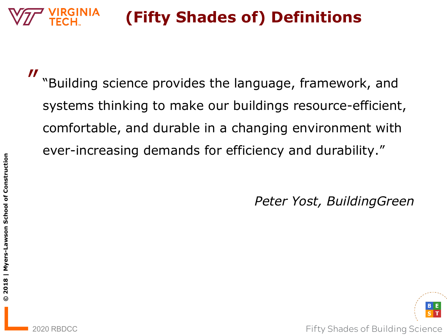$\boldsymbol{\mathit{II}}$ 

**© 2018 | Myers-Lawson School of Construction**

2018 | Myers-Lawson School of Construction

 $\odot$ 

"Building science provides the language, framework, and systems thinking to make our buildings resource-efficient, comfortable, and durable in a changing environment with ever-increasing demands for efficiency and durability."

*Peter Yost, BuildingGreen*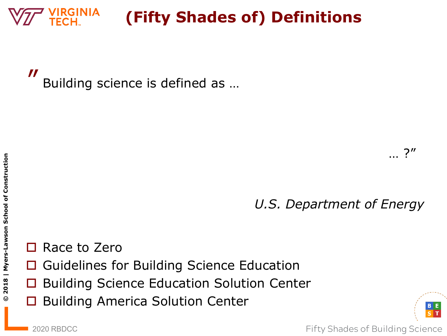″ Building science is defined as …

*U.S. Department of Energy*

Race to Zero

- Guidelines for Building Science Education
- Building Science Education Solution Center
- $\Box$  Building America Solution Center

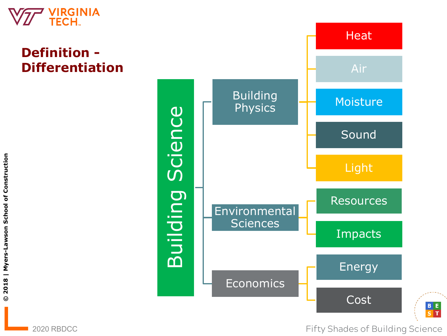

#### **Definition - Differentiation**

**Heat** Air **Building** Moisture **Physics** Science Building Science Sound Light Building **Resources** Environmental **Sciences** Impacts Energy Economics Cost

2020 RBDCC **Fifty Shades of Building Science** 

B E<br>S T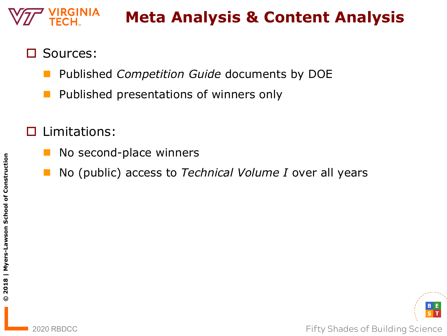## **Meta Analysis & Content Analysis**

- Sources:
	- Published *Competition Guide* documents by DOE
	- Published presentations of winners only
- Limitations:
	- No second-place winners
	- No (public) access to *Technical Volume I* over all years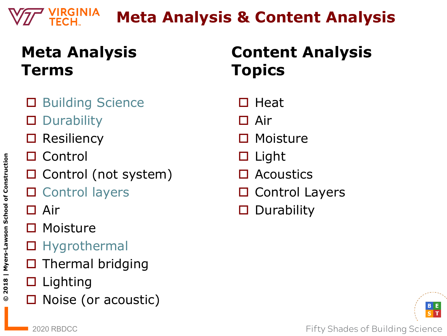## **Meta Analysis & Content Analysis**

## **Meta Analysis Terms**

- Building Science
- **Durability**
- **Resiliency**
- Control
- $\square$  Control (not system)
- □ Control layers
- □ Air
- □ Moisture
- □ Hygrothermal
- Thermal bridging
- $\square$  Lighting
- Noise (or acoustic)

## **Content Analysis Topics**

- $\Box$  Heat
- □ Air
- □ Moisture
- $\square$  Light
- Acoustics
- $\square$  Control Layers
- $\square$  Durability

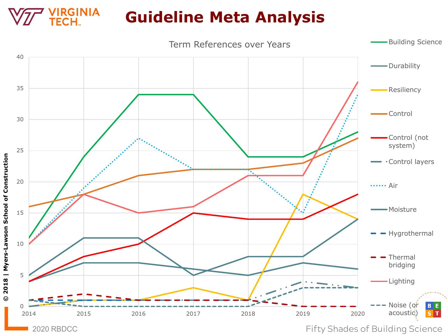## **Guideline Meta Analysis**

**/IRGINIA<br>TECH**..

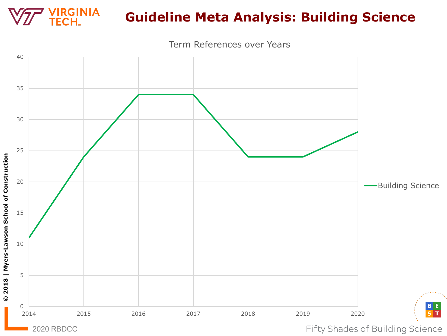

**© 2018 | Myers-Lawson School of Construction**

© 2018 | Myers-Lawson School of Construction

#### **Guideline Meta Analysis: Building Science**

Term References over Years

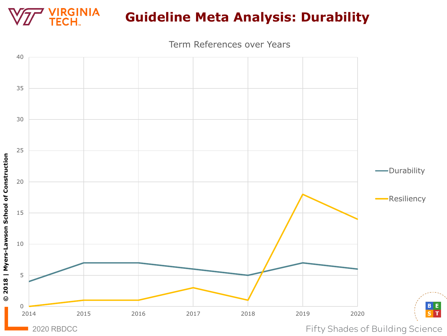

#### **Guideline Meta Analysis: Durability**

Term References over Years



**© 2018 | Myers-Lawson School of Construction**

© 2018 | Myers-Lawson School of Construction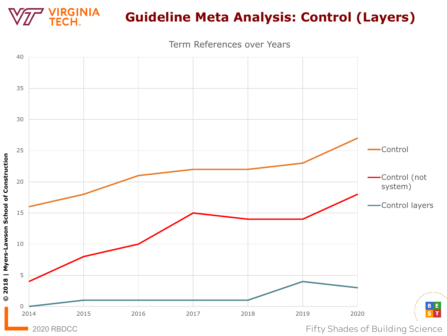

### **Guideline Meta Analysis: Control (Layers)**

Term References over Years



**© 2018 | Myers-Lawson School of Construction**

© 2018 | Myers-Lawson School of Construction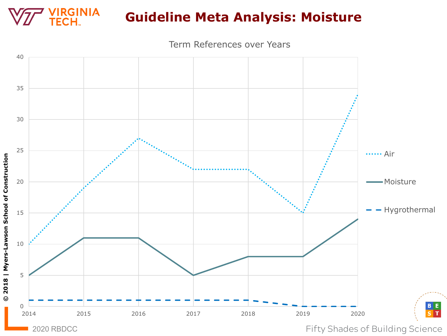

Term References over Years



**© 2018 | Myers-Lawson School of Construction**

© 2018 | Myers-Lawson School of Construction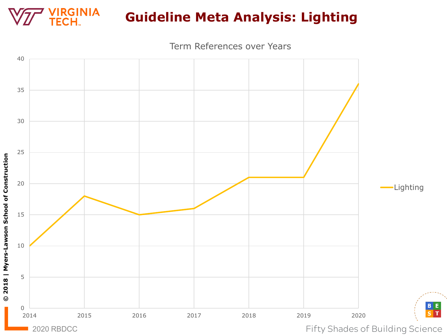

#### **Guideline Meta Analysis: Lighting**

Term References over Years



**© 2018 | Myers-Lawson School of Construction**

 $\odot$ 

2018 | Myers-Lawson School of Construction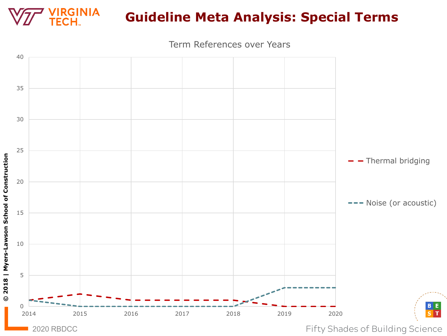

#### **Guideline Meta Analysis: Special Terms**

Term References over Years

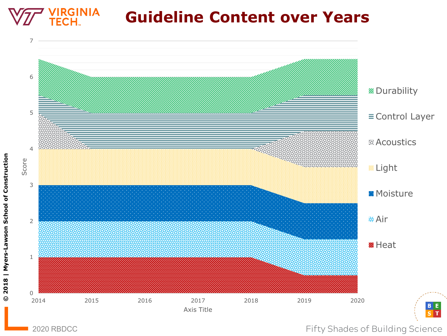#### **IRGINIA Guideline Content over Years**



**© 2018 | Myers-Lawson School of Construction**

 $\odot$ 

2018 | Myers-Lawson School of Construction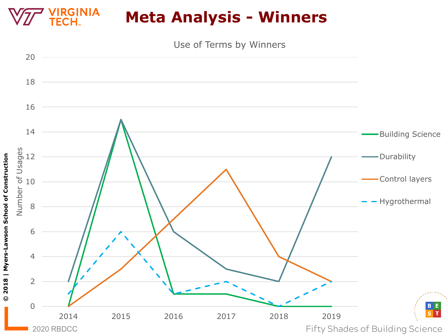#### **/IRGINIA Meta Analysis - Winners ECH**



**© 2018 | Myers-Lawson School of Construction**

© 2018 | Myers-Lawson School of Construction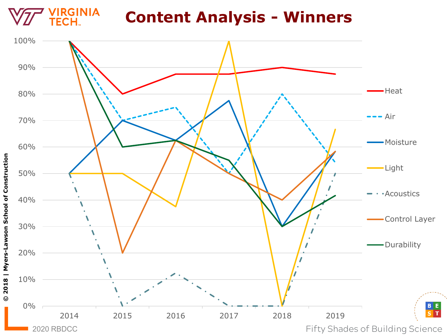

### **Content Analysis - Winners**

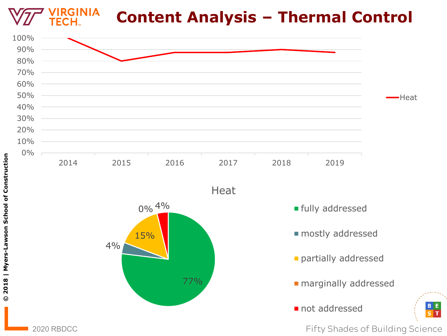

Е,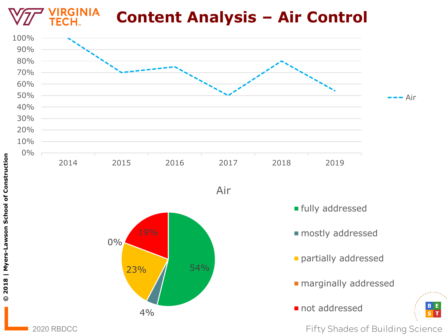

2020 RBDCC **Fifty Shades of Building Science** 

Е,  $S$ <sub>T</sub>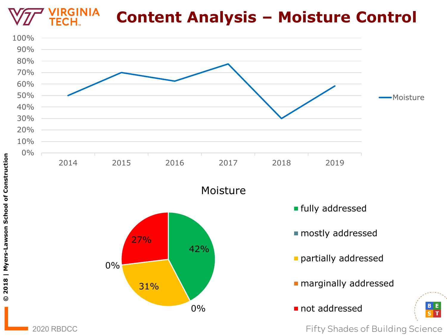#### **RGINIA Content Analysis – Moisture Control**



2020 RBDCC **Fifty Shades of Building Science** 

Е,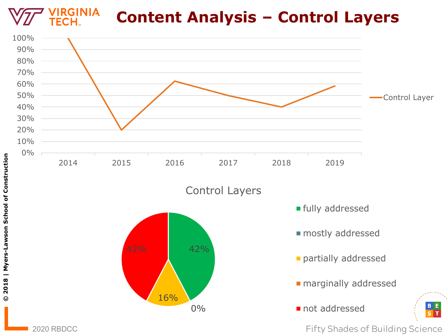#### **GINIA Content Analysis – Control Layers**

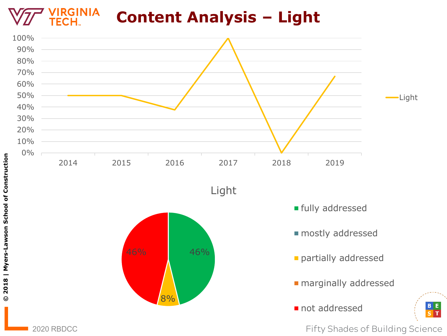#### **IRGINIA Content Analysis – Light** ECH.



2020 RBDCC **Fifty Shades of Building Science** 

 $\frac{B}{S} \frac{E}{T}$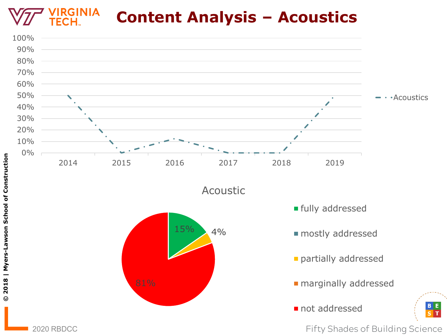**GINIA Content Analysis – Acoustics**

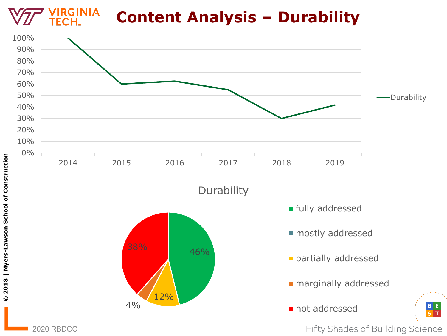

2020 RBDCC **Fifty Shades of Building Science** 

Е.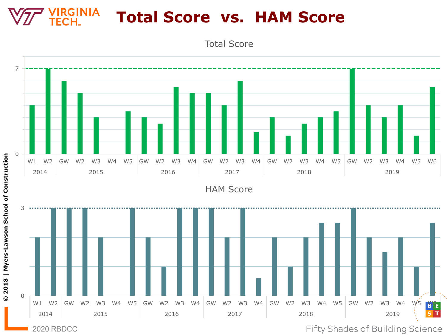#### **RGINIA Total Score vs. HAM Score**

Total Score

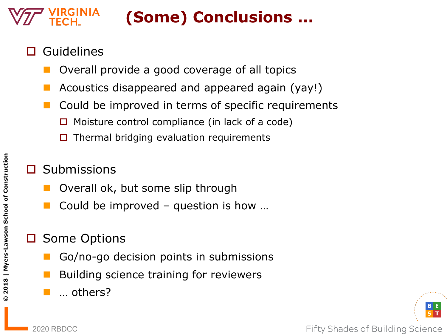# **(Some) Conclusions …**

- Guidelines
	- Overall provide a good coverage of all topics
	- Acoustics disappeared and appeared again (yay!)
	- Could be improved in terms of specific requirements
		- $\Box$  Moisture control compliance (in lack of a code)
		- $\Box$  Thermal bridging evaluation requirements
	- **Submissions** 
		- Overall ok, but some slip through
		- Could be improved question is how …

#### Some Options

- Go/no-go decision points in submissions
- Building science training for reviewers
- … others?



**© 2018 | Myers-Lawson School of Construction**

 $\odot$ 

2018 | Myers-Lawson School of Construction